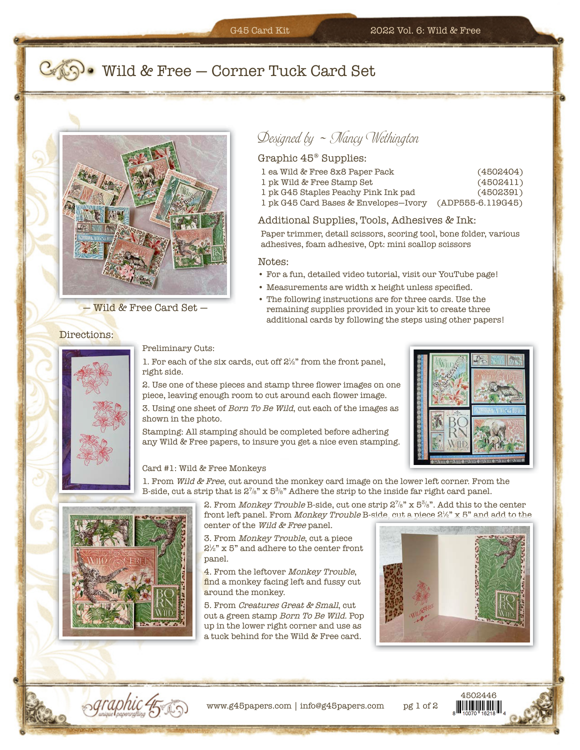## **Comer Tuck Card Set**



— Wild & Free Card Set —

Directions:

# $Designed by ~ N$ ancy Wethington

### Graphic 45® Supplies:

- 1 ea Wild & Free 8x8 Paper Pack (4502404)
- 1 pk Wild & Free Stamp Set (4502411)
- 1 pk G45 Staples Peachy Pink Ink pad (4502391)
- 1 pk G45 Card Bases & Envelopes —Ivory (ADP555-6.119G45)

### Additional Supplies, Tools, Adhesives & Ink:

Paper trimmer, detail scissors, scoring tool, bone folder, various adhesives, foam adhesive, Opt: mini scallop scissors

#### Notes:

- For a fun, detailed video tutorial, visit our YouTube page!
- Measurements are width x height unless specified.
- The following instructions are for three cards. Use the remaining supplies provided in your kit to create three additional cards by following the steps using other papers!

Preliminary Cuts:

1. For each of the six cards, cut off  $2\frac{1}{2}$  from the front panel, right side.

2. Use one of these pieces and stamp three flower images on one piece, leaving enough room to cut around each flower image.

3. Using one sheet of Born To Be Wild, cut each of the images as shown in the photo.

Stamping: All stamping should be completed before adhering any Wild & Free papers, to insure you get a nice even stamping.



### Card #1: Wild & Free Monkeys

1. From Wild & Free, cut around the monkey card image on the lower left corner. From the B-side, cut a strip that is  $2\frac{7}{8}$ " x  $5\frac{3}{8}$ " Adhere the strip to the inside far right card panel.



2. From *Monkey Trouble* B-side, cut one strip  $2\%$ " x  $5\%$ ". Add this to the center front left panel. From *Monkey Trouble* B-side, cut a piece  $2\frac{1}{2}$ " x 5" and add to the center of the Wild & Free panel.

3. From Monkey Trouble, cut a piece  $2\frac{1}{2}$ " x 5" and adhere to the center front panel.

4. From the leftover Monkey Trouble, find a monkey facing left and fussy cut around the monkey.

5. From Creatures Great & Small, cut out a green stamp Born To Be Wild. Pop up in the lower right corner and use as a tuck behind for the Wild & Free card.